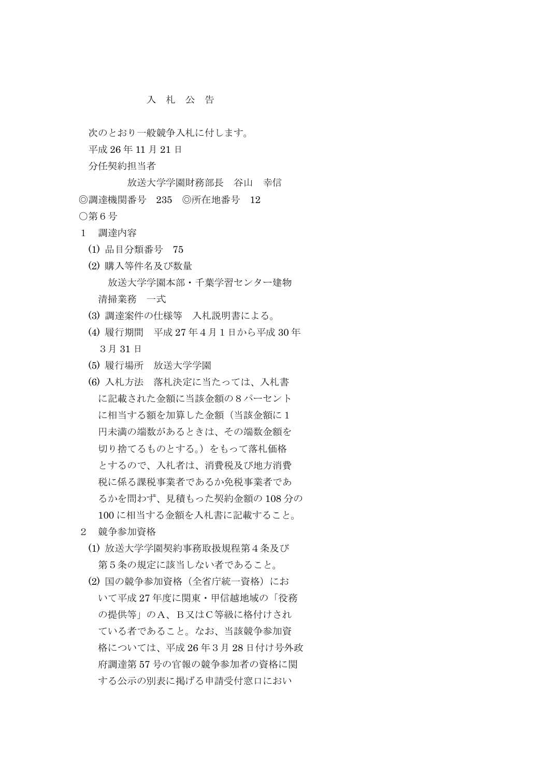## 入 札 公 告

次のとおり一般競争入札に付します。

平成 26 年 11 月 21 日

分任契約担当者

 放送大学学園財務部長 谷山 幸信 ◎調達機関番号 235 ◎所在地番号 12 ○第6号

- 1 調達内容
	- (1) 品目分類番号 75
	- (2) 購入等件名及び数量 放送大学学園本部・千葉学習センター建物 清掃業務 一式
	- (3) 調達案件の仕様等 入札説明書による。
	- (4) 履行期間 平成 27 年4月1日から平成 30 年 3月 31 日
	- (5) 履行場所 放送大学学園
	- (6) 入札方法 落札決定に当たっては、入札書 に記載された金額に当該金額の8パーセント に相当する額を加算した金額(当該金額に1 円未満の端数があるときは、その端数金額を 切り捨てるものとする。)をもって落札価格 とするので、入札者は、消費税及び地方消費 税に係る課税事業者であるか免税事業者であ るかを問わず、見積もった契約金額の 108 分の 100 に相当する金額を入札書に記載すること。
- 2 競争参加資格
	- (1) 放送大学学園契約事務取扱規程第4条及び 第5条の規定に該当しない者であること。
	- (2) 国の競争参加資格(全省庁統一資格)にお いて平成 27 年度に関東・甲信越地域の「役務 の提供等」のA、B又はC等級に格付けされ ている者であること。なお、当該競争参加資 格については、平成 26 年3月 28 日付け号外政 府調達第 57 号の官報の競争参加者の資格に関 する公示の別表に掲げる申請受付窓口におい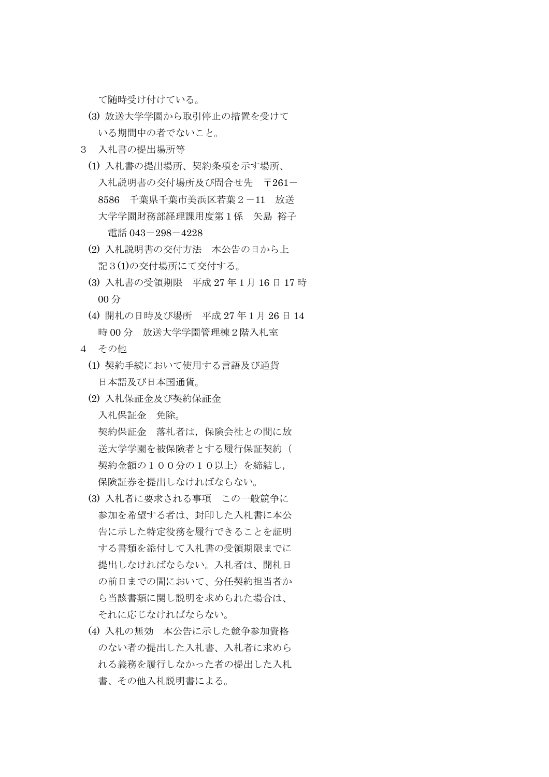て随時受け付けている。

- (3) 放送大学学園から取引停止の措置を受けて いる期間中の者でないこと。
- 3 入札書の提出場所等
	- (1) 入札書の提出場所、契約条項を示す場所、 入札説明書の交付場所及び問合せ先 〒261- 8586 千葉県千葉市美浜区若葉2-11 放送 大学学園財務部経理課用度第1係 矢島 裕子 電話 043-298-4228
	- (2) 入札説明書の交付方法 本公告の日から上 記3(1)の交付場所にて交付する。
	- (3) 入札書の受領期限 平成 27 年1月 16 日 17 時 00 分
	- (4) 開札の日時及び場所 平成 27 年1月 26 日 14 時 00 分 放送大学学園管理棟2階入札室
- 4 その他
	- (1) 契約手続において使用する言語及び通貨 日本語及び日本国通貨。
	- (2) 入札保証金及び契約保証金
		- 入札保証金 免除。

 契約保証金 落札者は,保険会社との間に放 送大学学園を被保険者とする履行保証契約( 契約金額の100分の10以上)を締結し, 保険証券を提出しなければならない。

- (3) 入札者に要求される事項 この一般競争に 参加を希望する者は、封印した入札書に本公 告に示した特定役務を履行できることを証明 する書類を添付して入札書の受領期限までに 提出しなければならない。入札者は、開札日 の前日までの間において、分任契約担当者か ら当該書類に関し説明を求められた場合は、 それに応じなければならない。
- (4) 入札の無効 本公告に示した競争参加資格 のない者の提出した入札書、入札者に求めら れる義務を履行しなかった者の提出した入札 書、その他入札説明書による。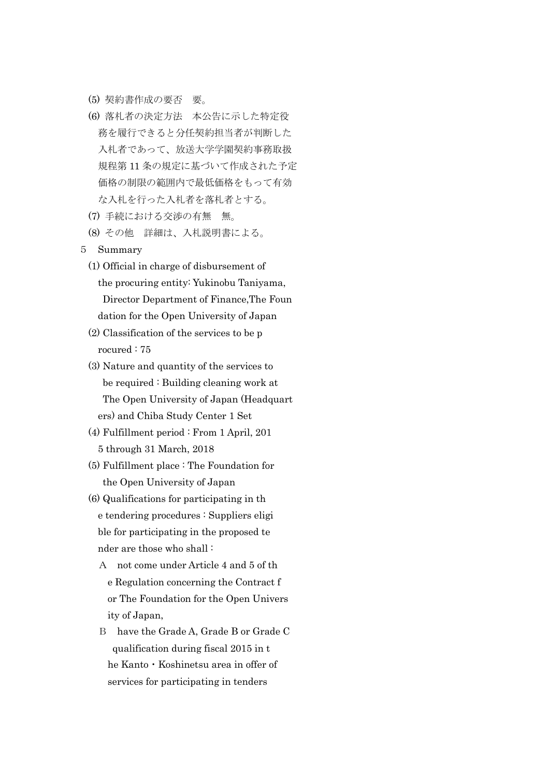- (5) 契約書作成の要否 要。
- (6) 落札者の決定方法 本公告に示した特定役 務を履行できると分任契約担当者が判断した 入札者であって、放送大学学園契約事務取扱 規程第 11 条の規定に基づいて作成された予定 価格の制限の範囲内で最低価格をもって有効 な入札を行った入札者を落札者とする。
- (7) 手続における交渉の有無 無。
- (8) その他 詳細は、入札説明書による。
- 5 Summary
	- (1) Official in charge of disbursement of the procuring entity: Yukinobu Taniyama, Director Department of Finance,The Foun dation for the Open University of Japan
	- (2) Classification of the services to be p rocured : 75
	- (3) Nature and quantity of the services to be required : Building cleaning work at The Open University of Japan (Headquart ers) and Chiba Study Center 1 Set
	- (4) Fulfillment period : From 1 April, 201 5 through 31 March, 2018
	- (5) Fulfillment place : The Foundation for the Open University of Japan
	- (6) Qualifications for participating in th e tendering procedures : Suppliers eligi ble for participating in the proposed te nder are those who shall :
		- A not come under Article 4 and 5 of th e Regulation concerning the Contract f or The Foundation for the Open Univers ity of Japan,
		- B have the Grade A, Grade B or Grade C qualification during fiscal 2015 in t he Kanto・Koshinetsu area in offer of services for participating in tenders